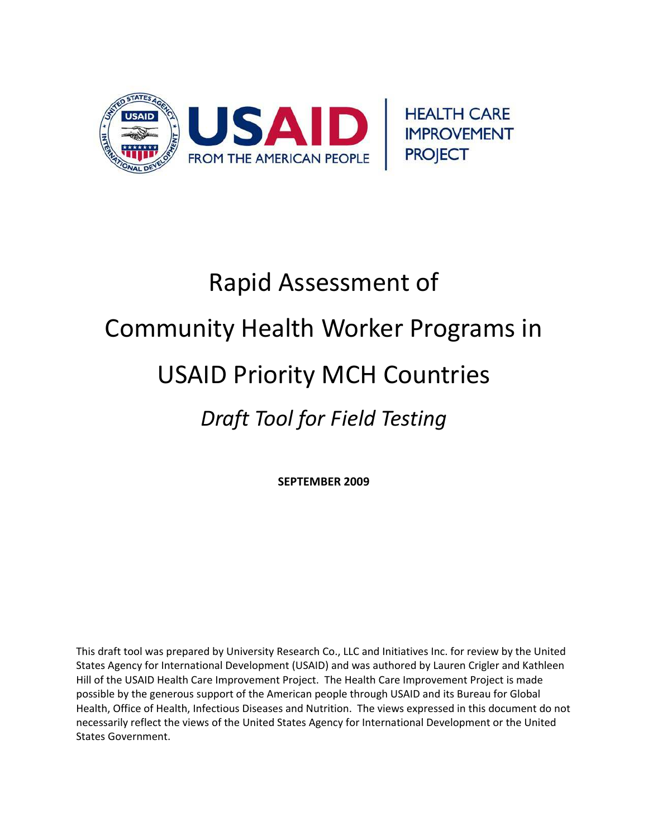

# Rapid Assessment of Community Health Worker Programs in USAID Priority MCH Countries *Draft Tool for Field Testing*

**SEPTEMBER 2009**

This draft tool was prepared by University Research Co., LLC and Initiatives Inc. for review by the United States Agency for International Development (USAID) and was authored by Lauren Crigler and Kathleen Hill of the USAID Health Care Improvement Project. The Health Care Improvement Project is made possible by the generous support of the American people through USAID and its Bureau for Global Health, Office of Health, Infectious Diseases and Nutrition. The views expressed in this document do not necessarily reflect the views of the United States Agency for International Development or the United States Government.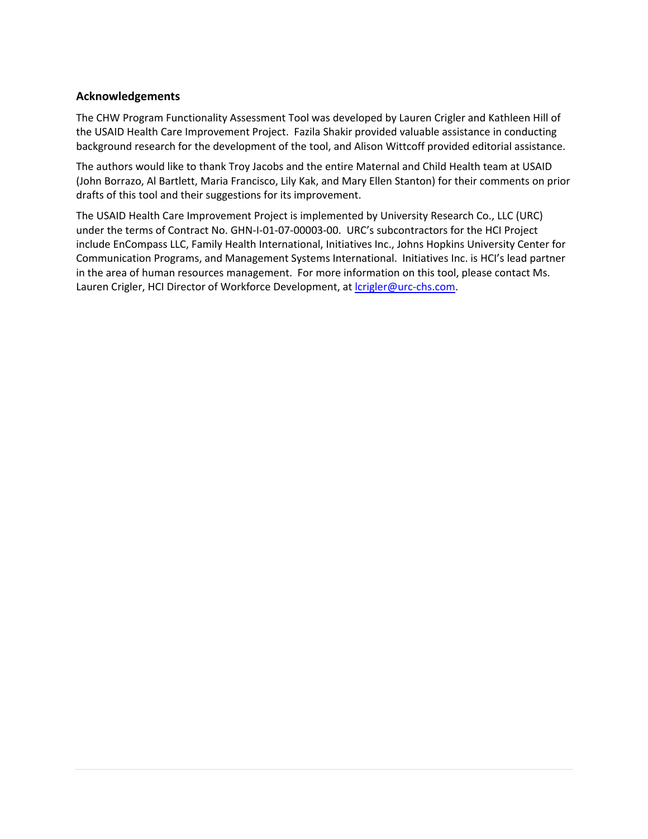## **Acknowledgements**

The CHW Program Functionality Assessment Tool was developed by Lauren Crigler and Kathleen Hill of the USAID Health Care Improvement Project. Fazila Shakir provided valuable assistance in conducting background research for the development of the tool, and Alison Wittcoff provided editorial assistance.

The authors would like to thank Troy Jacobs and the entire Maternal and Child Health team at USAID (John Borrazo, Al Bartlett, Maria Francisco, Lily Kak, and Mary Ellen Stanton) for their comments on prior drafts of this tool and their suggestions for its improvement.

The USAID Health Care Improvement Project is implemented by University Research Co., LLC (URC) under the terms of Contract No. GHN-I-01-07-00003-00. URC's subcontractors for the HCI Project include EnCompass LLC, Family Health International, Initiatives Inc., Johns Hopkins University Center for Communication Programs, and Management Systems International. Initiatives Inc. is HCI's lead partner in the area of human resources management. For more information on this tool, please contact Ms. Lauren Crigler, HCI Director of Workforce Development, at *crigler@urc-chs.com.*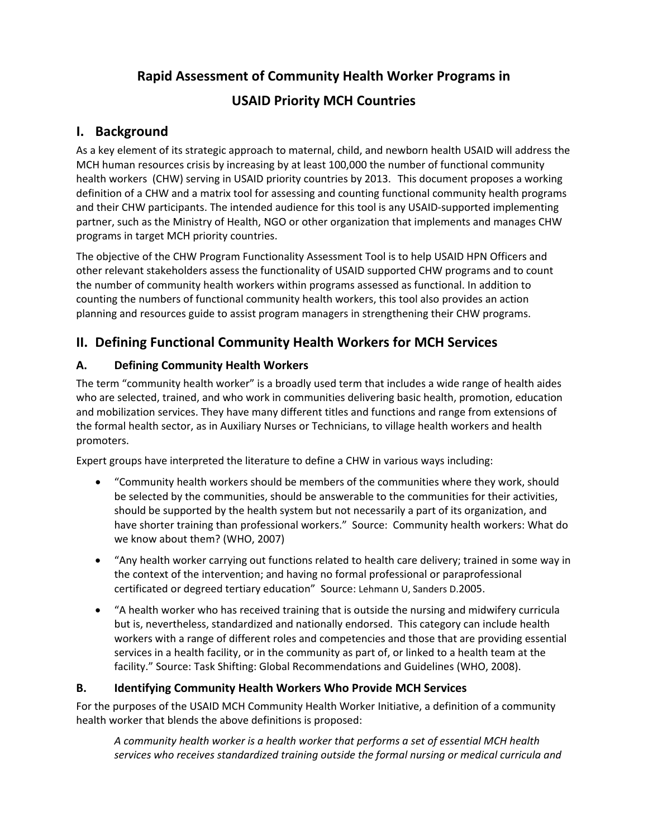# **Rapid Assessment of Community Health Worker Programs in USAID Priority MCH Countries**

## **I. Background**

As a key element of its strategic approach to maternal, child, and newborn health USAID will address the MCH human resources crisis by increasing by at least 100,000 the number of functional community health workers (CHW) serving in USAID priority countries by 2013. This document proposes a working definition of a CHW and a matrix tool for assessing and counting functional community health programs and their CHW participants. The intended audience for this tool is any USAID‐supported implementing partner, such as the Ministry of Health, NGO or other organization that implements and manages CHW programs in target MCH priority countries.

The objective of the CHW Program Functionality Assessment Tool is to help USAID HPN Officers and other relevant stakeholders assess the functionality of USAID supported CHW programs and to count the number of community health workers within programs assessed as functional. In addition to counting the numbers of functional community health workers, this tool also provides an action planning and resources guide to assist program managers in strengthening their CHW programs.

## **II. Defining Functional Community Health Workers for MCH Services**

## **A. Defining Community Health Workers**

The term "community health worker" is a broadly used term that includes a wide range of health aides who are selected, trained, and who work in communities delivering basic health, promotion, education and mobilization services. They have many different titles and functions and range from extensions of the formal health sector, as in Auxiliary Nurses or Technicians, to village health workers and health promoters.

Expert groups have interpreted the literature to define a CHW in various ways including:

- "Community health workers should be members of the communities where they work, should be selected by the communities, should be answerable to the communities for their activities, should be supported by the health system but not necessarily a part of its organization, and have shorter training than professional workers." Source: Community health workers: What do we know about them? (WHO, 2007)
- "Any health worker carrying out functions related to health care delivery; trained in some way in the context of the intervention; and having no formal professional or paraprofessional certificated or degreed tertiary education" Source: Lehmann U, Sanders D.2005.
- "A health worker who has received training that is outside the nursing and midwifery curricula but is, nevertheless, standardized and nationally endorsed. This category can include health workers with a range of different roles and competencies and those that are providing essential services in a health facility, or in the community as part of, or linked to a health team at the facility." Source: Task Shifting: Global Recommendations and Guidelines (WHO, 2008).

## **B. Identifying Community Health Workers Who Provide MCH Services**

For the purposes of the USAID MCH Community Health Worker Initiative, a definition of a community health worker that blends the above definitions is proposed:

*A community health worker is a health worker that performs a set of essential MCH health services who receives standardized training outside the formal nursing or medical curricula and*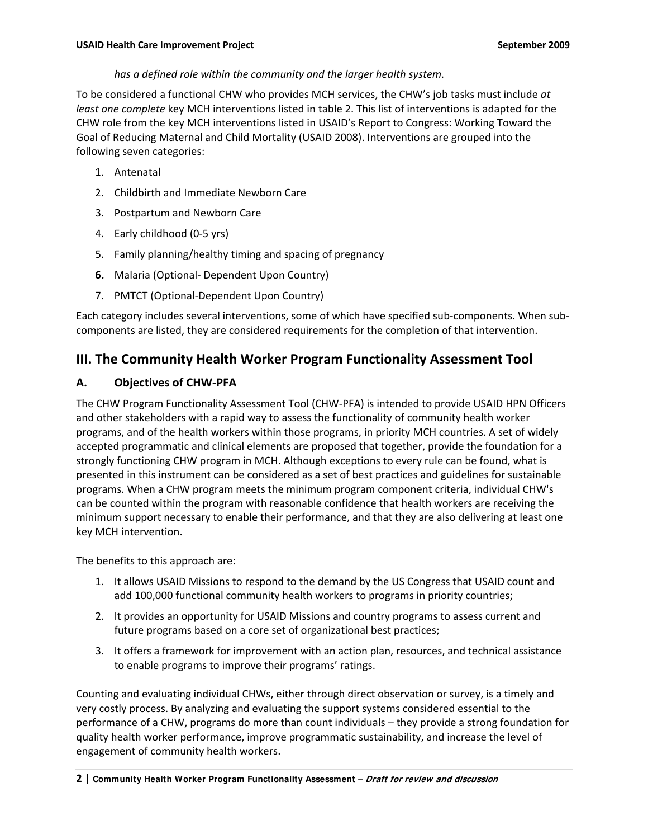## *has a defined role within the community and the larger health system.*

To be considered a functional CHW who provides MCH services, the CHW's job tasks must include *at least one complete* key MCH interventions listed in table 2. This list of interventions is adapted for the CHW role from the key MCH interventions listed in USAID's Report to Congress: Working Toward the Goal of Reducing Maternal and Child Mortality (USAID 2008). Interventions are grouped into the following seven categories:

- 1. Antenatal
- 2. Childbirth and Immediate Newborn Care
- 3. Postpartum and Newborn Care
- 4. Early childhood (0‐5 yrs)
- 5. Family planning/healthy timing and spacing of pregnancy
- **6.** Malaria (Optional‐ Dependent Upon Country)
- 7. PMTCT (Optional‐Dependent Upon Country)

Each category includes several interventions, some of which have specified sub‐components. When sub‐ components are listed, they are considered requirements for the completion of that intervention.

## **III. The Community Health Worker Program Functionality Assessment Tool**

## **A. Objectives of CHW‐PFA**

The CHW Program Functionality Assessment Tool (CHW‐PFA) is intended to provide USAID HPN Officers and other stakeholders with a rapid way to assess the functionality of community health worker programs, and of the health workers within those programs, in priority MCH countries. A set of widely accepted programmatic and clinical elements are proposed that together, provide the foundation for a strongly functioning CHW program in MCH. Although exceptions to every rule can be found, what is presented in this instrument can be considered as a set of best practices and guidelines for sustainable programs. When a CHW program meets the minimum program component criteria, individual CHW's can be counted within the program with reasonable confidence that health workers are receiving the minimum support necessary to enable their performance, and that they are also delivering at least one key MCH intervention.

The benefits to this approach are:

- 1. It allows USAID Missions to respond to the demand by the US Congress that USAID count and add 100,000 functional community health workers to programs in priority countries;
- 2. It provides an opportunity for USAID Missions and country programs to assess current and future programs based on a core set of organizational best practices;
- 3. It offers a framework for improvement with an action plan, resources, and technical assistance to enable programs to improve their programs' ratings.

Counting and evaluating individual CHWs, either through direct observation or survey, is a timely and very costly process. By analyzing and evaluating the support systems considered essential to the performance of a CHW, programs do more than count individuals – they provide a strong foundation for quality health worker performance, improve programmatic sustainability, and increase the level of engagement of community health workers.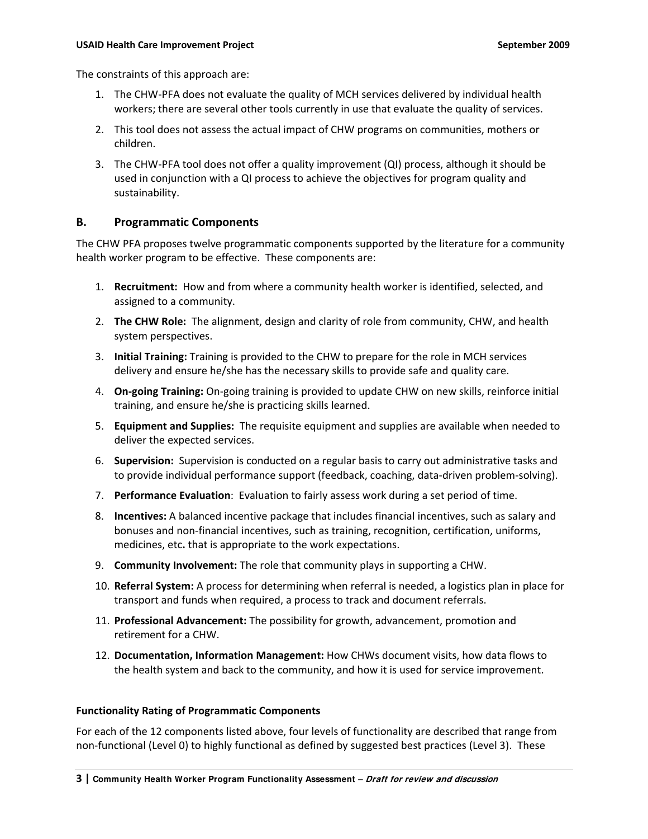The constraints of this approach are:

- 1. The CHW‐PFA does not evaluate the quality of MCH services delivered by individual health workers; there are several other tools currently in use that evaluate the quality of services.
- 2. This tool does not assess the actual impact of CHW programs on communities, mothers or children.
- 3. The CHW‐PFA tool does not offer a quality improvement (QI) process, although it should be used in conjunction with a QI process to achieve the objectives for program quality and sustainability.

#### **B. Programmatic Components**

The CHW PFA proposes twelve programmatic components supported by the literature for a community health worker program to be effective. These components are:

- 1. **Recruitment:** How and from where a community health worker is identified, selected, and assigned to a community.
- 2. **The CHW Role:** The alignment, design and clarity of role from community, CHW, and health system perspectives.
- 3. **Initial Training:** Training is provided to the CHW to prepare for the role in MCH services delivery and ensure he/she has the necessary skills to provide safe and quality care.
- 4. **On‐going Training:** On‐going training is provided to update CHW on new skills, reinforce initial training, and ensure he/she is practicing skills learned.
- 5. **Equipment and Supplies:** The requisite equipment and supplies are available when needed to deliver the expected services.
- 6. **Supervision:** Supervision is conducted on a regular basis to carry out administrative tasks and to provide individual performance support (feedback, coaching, data‐driven problem‐solving).
- 7. **Performance Evaluation**: Evaluation to fairly assess work during a set period of time.
- 8. **Incentives:** A balanced incentive package that includes financial incentives, such as salary and bonuses and non‐financial incentives, such as training, recognition, certification, uniforms, medicines, etc**.** that is appropriate to the work expectations.
- 9. **Community Involvement:** The role that community plays in supporting a CHW.
- 10. **Referral System:** A process for determining when referral is needed, a logistics plan in place for transport and funds when required, a process to track and document referrals.
- 11. **Professional Advancement:** The possibility for growth, advancement, promotion and retirement for a CHW.
- 12. **Documentation, Information Management:** How CHWs document visits, how data flows to the health system and back to the community, and how it is used for service improvement.

#### **Functionality Rating of Programmatic Components**

For each of the 12 components listed above, four levels of functionality are described that range from non-functional (Level 0) to highly functional as defined by suggested best practices (Level 3). These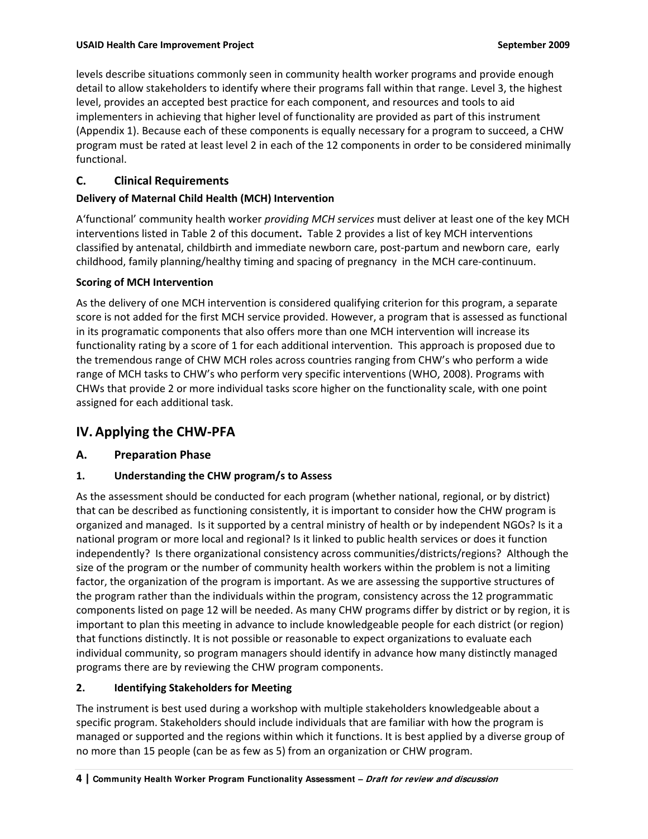levels describe situations commonly seen in community health worker programs and provide enough detail to allow stakeholders to identify where their programs fall within that range. Level 3, the highest level, provides an accepted best practice for each component, and resources and tools to aid implementers in achieving that higher level of functionality are provided as part of this instrument (Appendix 1). Because each of these components is equally necessary for a program to succeed, a CHW program must be rated at least level 2 in each of the 12 components in order to be considered minimally functional.

## **C. Clinical Requirements**

## **Delivery of Maternal Child Health (MCH) Intervention**

A'functional' community health worker *providing MCH services* must deliver at least one of the key MCH interventions listed in Table 2 of this document**.** Table 2 provides a list of key MCH interventions classified by antenatal, childbirth and immediate newborn care, post‐partum and newborn care, early childhood, family planning/healthy timing and spacing of pregnancy in the MCH care‐continuum.

## **Scoring of MCH Intervention**

As the delivery of one MCH intervention is considered qualifying criterion for this program, a separate score is not added for the first MCH service provided. However, a program that is assessed as functional in its programatic components that also offers more than one MCH intervention will increase its functionality rating by a score of 1 for each additional intervention. This approach is proposed due to the tremendous range of CHW MCH roles across countries ranging from CHW's who perform a wide range of MCH tasks to CHW's who perform very specific interventions (WHO, 2008). Programs with CHWs that provide 2 or more individual tasks score higher on the functionality scale, with one point assigned for each additional task.

## **IV. Applying the CHW‐PFA**

## **A. Preparation Phase**

## **1. Understanding the CHW program/s to Assess**

As the assessment should be conducted for each program (whether national, regional, or by district) that can be described as functioning consistently, it is important to consider how the CHW program is organized and managed. Is it supported by a central ministry of health or by independent NGOs? Is it a national program or more local and regional? Is it linked to public health services or does it function independently? Is there organizational consistency across communities/districts/regions? Although the size of the program or the number of community health workers within the problem is not a limiting factor, the organization of the program is important. As we are assessing the supportive structures of the program rather than the individuals within the program, consistency across the 12 programmatic components listed on page 12 will be needed. As many CHW programs differ by district or by region, it is important to plan this meeting in advance to include knowledgeable people for each district (or region) that functions distinctly. It is not possible or reasonable to expect organizations to evaluate each individual community, so program managers should identify in advance how many distinctly managed programs there are by reviewing the CHW program components.

## **2. Identifying Stakeholders for Meeting**

The instrument is best used during a workshop with multiple stakeholders knowledgeable about a specific program. Stakeholders should include individuals that are familiar with how the program is managed or supported and the regions within which it functions. It is best applied by a diverse group of no more than 15 people (can be as few as 5) from an organization or CHW program.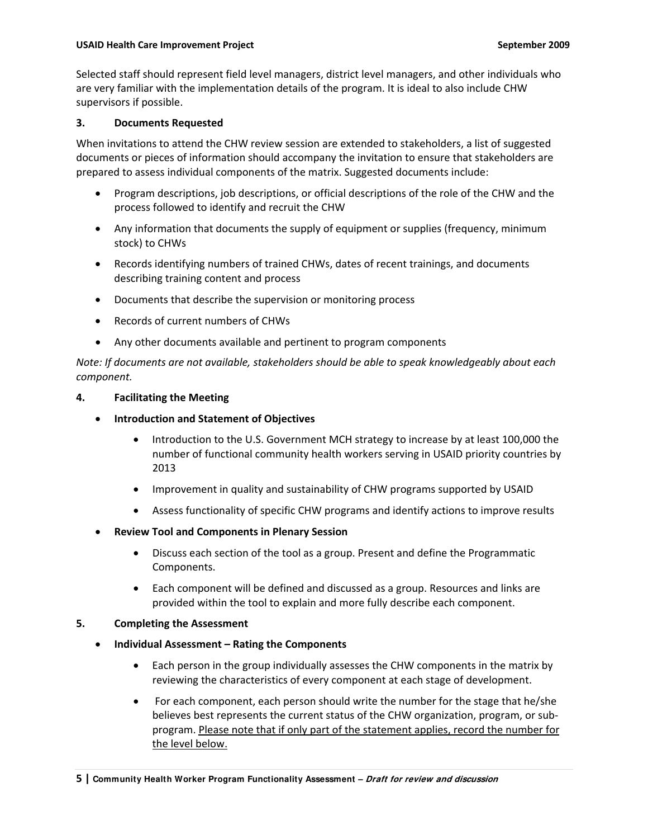#### **USAID Health Care Improvement Project September 2009**

Selected staff should represent field level managers, district level managers, and other individuals who are very familiar with the implementation details of the program. It is ideal to also include CHW supervisors if possible.

#### **3. Documents Requested**

When invitations to attend the CHW review session are extended to stakeholders, a list of suggested documents or pieces of information should accompany the invitation to ensure that stakeholders are prepared to assess individual components of the matrix. Suggested documents include:

- Program descriptions, job descriptions, or official descriptions of the role of the CHW and the process followed to identify and recruit the CHW
- Any information that documents the supply of equipment or supplies (frequency, minimum stock) to CHWs
- Records identifying numbers of trained CHWs, dates of recent trainings, and documents describing training content and process
- Documents that describe the supervision or monitoring process
- Records of current numbers of CHWs
- Any other documents available and pertinent to program components

*Note: If documents are not available, stakeholders should be able to speak knowledgeably about each component.*

#### **4. Facilitating the Meeting**

- **Introduction and Statement of Objectives**
	- Introduction to the U.S. Government MCH strategy to increase by at least 100,000 the number of functional community health workers serving in USAID priority countries by 2013
	- Improvement in quality and sustainability of CHW programs supported by USAID
	- Assess functionality of specific CHW programs and identify actions to improve results
- **Review Tool and Components in Plenary Session**
	- Discuss each section of the tool as a group. Present and define the Programmatic Components.
	- Each component will be defined and discussed as a group. Resources and links are provided within the tool to explain and more fully describe each component.

#### **5. Completing the Assessment**

- **Individual Assessment – Rating the Components**
	- Each person in the group individually assesses the CHW components in the matrix by reviewing the characteristics of every component at each stage of development.
	- For each component, each person should write the number for the stage that he/she believes best represents the current status of the CHW organization, program, or sub‐ program. Please note that if only part of the statement applies, record the number for the level below.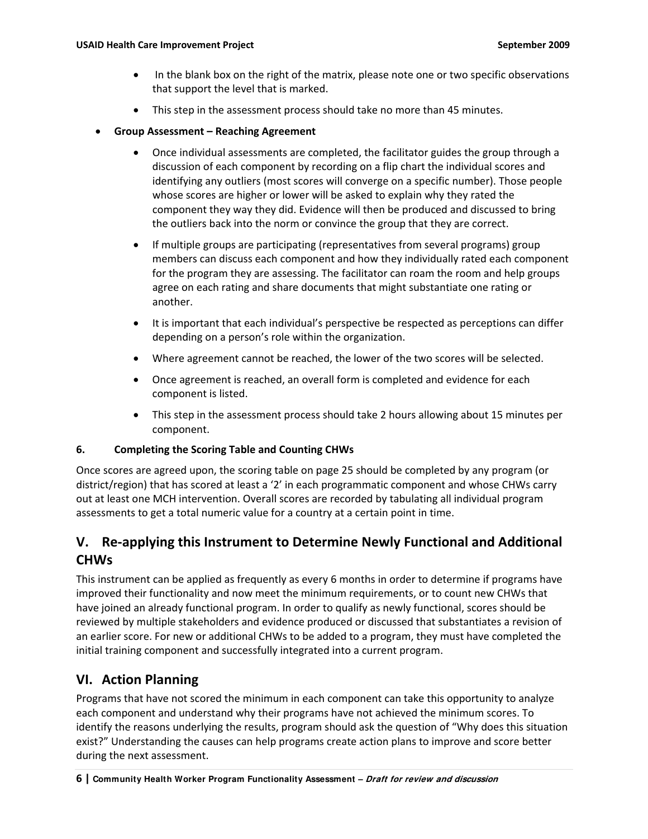- In the blank box on the right of the matrix, please note one or two specific observations that support the level that is marked.
- This step in the assessment process should take no more than 45 minutes.
- **Group Assessment – Reaching Agreement** 
	- Once individual assessments are completed, the facilitator guides the group through a discussion of each component by recording on a flip chart the individual scores and identifying any outliers (most scores will converge on a specific number). Those people whose scores are higher or lower will be asked to explain why they rated the component they way they did. Evidence will then be produced and discussed to bring the outliers back into the norm or convince the group that they are correct.
	- If multiple groups are participating (representatives from several programs) group members can discuss each component and how they individually rated each component for the program they are assessing. The facilitator can roam the room and help groups agree on each rating and share documents that might substantiate one rating or another.
	- It is important that each individual's perspective be respected as perceptions can differ depending on a person's role within the organization.
	- Where agreement cannot be reached, the lower of the two scores will be selected.
	- Once agreement is reached, an overall form is completed and evidence for each component is listed.
	- This step in the assessment process should take 2 hours allowing about 15 minutes per component.

#### **6. Completing the Scoring Table and Counting CHWs**

Once scores are agreed upon, the scoring table on page 25 should be completed by any program (or district/region) that has scored at least a '2' in each programmatic component and whose CHWs carry out at least one MCH intervention. Overall scores are recorded by tabulating all individual program assessments to get a total numeric value for a country at a certain point in time.

## **V. Re‐applying this Instrument to Determine Newly Functional and Additional CHWs**

This instrument can be applied as frequently as every 6 months in order to determine if programs have improved their functionality and now meet the minimum requirements, or to count new CHWs that have joined an already functional program. In order to qualify as newly functional, scores should be reviewed by multiple stakeholders and evidence produced or discussed that substantiates a revision of an earlier score. For new or additional CHWs to be added to a program, they must have completed the initial training component and successfully integrated into a current program.

## **VI. Action Planning**

Programs that have not scored the minimum in each component can take this opportunity to analyze each component and understand why their programs have not achieved the minimum scores. To identify the reasons underlying the results, program should ask the question of "Why does this situation exist?" Understanding the causes can help programs create action plans to improve and score better during the next assessment.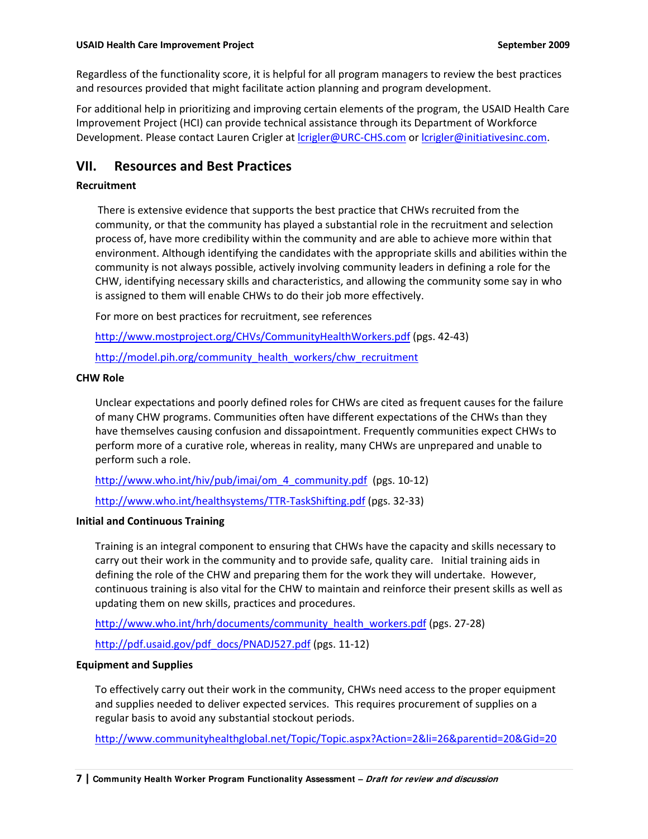Regardless of the functionality score, it is helpful for all program managers to review the best practices and resources provided that might facilitate action planning and program development.

For additional help in prioritizing and improving certain elements of the program, the USAID Health Care Improvement Project (HCI) can provide technical assistance through its Department of Workforce Development. Please contact Lauren Crigler at *crigler@URC*-CHS.com or *crigler@initiativesinc.com*.

## **VII. Resources and Best Practices**

### **Recruitment**

There is extensive evidence that supports the best practice that CHWs recruited from the community, or that the community has played a substantial role in the recruitment and selection process of, have more credibility within the community and are able to achieve more within that environment. Although identifying the candidates with the appropriate skills and abilities within the community is not always possible, actively involving community leaders in defining a role for the CHW, identifying necessary skills and characteristics, and allowing the community some say in who is assigned to them will enable CHWs to do their job more effectively.

For more on best practices for recruitment, see references

<http://www.mostproject.org/CHVs/CommunityHealthWorkers.pdf> (pgs. 42-43)

http://model.pih.org/community health\_workers/chw\_recruitment

#### **CHW Role**

Unclear expectations and poorly defined roles for CHWs are cited as frequent causes for the failure of many CHW programs. Communities often have different expectations of the CHWs than they have themselves causing confusion and dissapointment. Frequently communities expect CHWs to perform more of a curative role, whereas in reality, many CHWs are unprepared and unable to perform such a role.

[http://www.who.int/hiv/pub/imai/om\\_4\\_community.pdf](http://www.who.int/hiv/pub/imai/om_4_community.pdf) (pgs. 10-12)

[http://www.who.int/healthsystems/TTR](http://www.who.int/healthsystems/TTR-TaskShifting.pdf)‐TaskShifting.pdf (pgs. 32‐33)

#### **Initial and Continuous Training**

Training is an integral component to ensuring that CHWs have the capacity and skills necessary to carry out their work in the community and to provide safe, quality care. Initial training aids in defining the role of the CHW and preparing them for the work they will undertake. However, continuous training is also vital for the CHW to maintain and reinforce their present skills as well as updating them on new skills, practices and procedures.

[http://www.who.int/hrh/documents/community\\_health\\_workers.pdf](http://www.who.int/hrh/documents/community_health_workers.pdf) (pgs. 27-28)

[http://pdf.usaid.gov/pdf\\_docs/PNADJ527.pdf](http://pdf.usaid.gov/pdf_docs/PNADJ527.pdf) (pgs. 11-12)

#### **Equipment and Supplies**

To effectively carry out their work in the community, CHWs need access to the proper equipment and supplies needed to deliver expected services. This requires procurement of supplies on a regular basis to avoid any substantial stockout periods.

<http://www.communityhealthglobal.net/Topic/Topic.aspx?Action=2&li=26&parentid=20&Gid=20>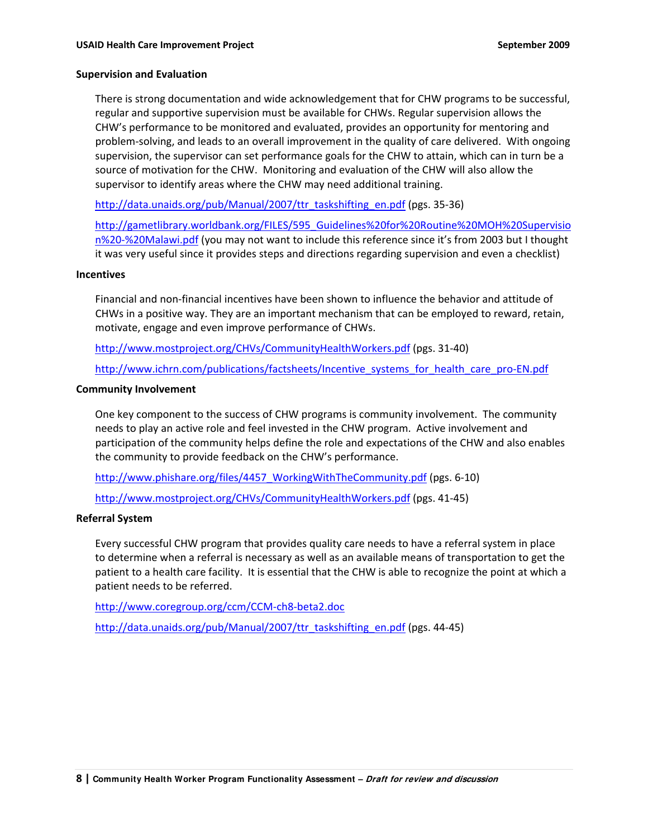#### **Supervision and Evaluation**

There is strong documentation and wide acknowledgement that for CHW programs to be successful, regular and supportive supervision must be available for CHWs. Regular supervision allows the CHW's performance to be monitored and evaluated, provides an opportunity for mentoring and problem‐solving, and leads to an overall improvement in the quality of care delivered. With ongoing supervision, the supervisor can set performance goals for the CHW to attain, which can in turn be a source of motivation for the CHW. Monitoring and evaluation of the CHW will also allow the supervisor to identify areas where the CHW may need additional training.

[http://data.unaids.org/pub/Manual/2007/ttr\\_taskshifting\\_en.pdf](http://data.unaids.org/pub/Manual/2007/ttr_taskshifting_en.pdf) (pgs. 35-36)

[http://gametlibrary.worldbank.org/FILES/595\\_Guidelines%20for%20Routine%20MOH%20Supervisio](http://gametlibrary.worldbank.org/FILES/595_Guidelines%20for%20Routine%20MOH%20Supervision%20-%20Malawi.pdf) n%20‐[%20Malawi.pdf](http://gametlibrary.worldbank.org/FILES/595_Guidelines%20for%20Routine%20MOH%20Supervision%20-%20Malawi.pdf) (you may not want to include this reference since it's from 2003 but I thought it was very useful since it provides steps and directions regarding supervision and even a checklist)

#### **Incentives**

Financial and non‐financial incentives have been shown to influence the behavior and attitude of CHWs in a positive way. They are an important mechanism that can be employed to reward, retain, motivate, engage and even improve performance of CHWs.

<http://www.mostproject.org/CHVs/CommunityHealthWorkers.pdf> (pgs. 31-40)

[http://www.ichrn.com/publications/factsheets/Incentive\\_systems\\_for\\_health\\_care\\_pro](http://www.ichrn.com/publications/factsheets/Incentive_systems_for_health_care_pro-EN.pdf)-EN.pdf

#### **Community Involvement**

One key component to the success of CHW programs is community involvement. The community needs to play an active role and feel invested in the CHW program. Active involvement and participation of the community helps define the role and expectations of the CHW and also enables the community to provide feedback on the CHW's performance.

[http://www.phishare.org/files/4457\\_WorkingWithTheCommunity.pdf](http://www.phishare.org/files/4457_WorkingWithTheCommunity.pdf) (pgs. 6-10)

<http://www.mostproject.org/CHVs/CommunityHealthWorkers.pdf> (pgs. 41‐45)

#### **Referral System**

Every successful CHW program that provides quality care needs to have a referral system in place to determine when a referral is necessary as well as an available means of transportation to get the patient to a health care facility. It is essential that the CHW is able to recognize the point at which a patient needs to be referred.

[http://www.coregroup.org/ccm/CCM](http://www.coregroup.org/ccm/CCM-ch8-beta2.doc)‐ch8‐beta2.doc

[http://data.unaids.org/pub/Manual/2007/ttr\\_taskshifting\\_en.pdf](http://data.unaids.org/pub/Manual/2007/ttr_taskshifting_en.pdf) (pgs. 44‐45)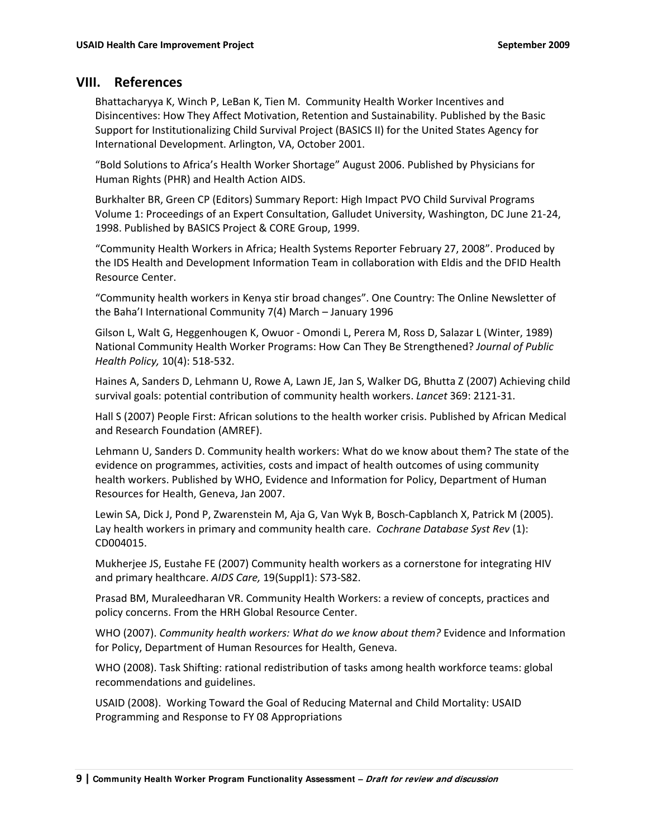## **VIII. References**

Bhattacharyya K, Winch P, LeBan K, Tien M. Community Health Worker Incentives and Disincentives: How They Affect Motivation, Retention and Sustainability. Published by the Basic Support for Institutionalizing Child Survival Project (BASICS II) for the United States Agency for International Development. Arlington, VA, October 2001.

"Bold Solutions to Africa's Health Worker Shortage" August 2006. Published by Physicians for Human Rights (PHR) and Health Action AIDS.

Burkhalter BR, Green CP (Editors) Summary Report: High Impact PVO Child Survival Programs Volume 1: Proceedings of an Expert Consultation, Galludet University, Washington, DC June 21‐24, 1998. Published by BASICS Project & CORE Group, 1999.

"Community Health Workers in Africa; Health Systems Reporter February 27, 2008". Produced by the IDS Health and Development Information Team in collaboration with Eldis and the DFID Health Resource Center.

"Community health workers in Kenya stir broad changes". One Country: The Online Newsletter of the Baha'I International Community 7(4) March – January 1996

Gilson L, Walt G, Heggenhougen K, Owuor ‐ Omondi L, Perera M, Ross D, Salazar L (Winter, 1989) National Community Health Worker Programs: How Can They Be Strengthened? *Journal of Public Health Policy,* 10(4): 518‐532.

Haines A, Sanders D, Lehmann U, Rowe A, Lawn JE, Jan S, Walker DG, Bhutta Z (2007) Achieving child survival goals: potential contribution of community health workers. *Lancet* 369: 2121‐31.

Hall S (2007) People First: African solutions to the health worker crisis. Published by African Medical and Research Foundation (AMREF).

Lehmann U, Sanders D. Community health workers: What do we know about them? The state of the evidence on programmes, activities, costs and impact of health outcomes of using community health workers. Published by WHO, Evidence and Information for Policy, Department of Human Resources for Health, Geneva, Jan 2007.

Lewin SA, Dick J, Pond P, Zwarenstein M, Aja G, Van Wyk B, Bosch‐Capblanch X, Patrick M (2005). Lay health workers in primary and community health care. *Cochrane Database Syst Rev* (1): CD004015.

Mukherjee JS, Eustahe FE (2007) Community health workers as a cornerstone for integrating HIV and primary healthcare. *AIDS Care,* 19(Suppl1): S73‐S82.

Prasad BM, Muraleedharan VR. Community Health Workers: a review of concepts, practices and policy concerns. From the HRH Global Resource Center.

WHO (2007). *Community health workers: What do we know about them?* Evidence and Information for Policy, Department of Human Resources for Health, Geneva.

WHO (2008). Task Shifting: rational redistribution of tasks among health workforce teams: global recommendations and guidelines.

USAID (2008). Working Toward the Goal of Reducing Maternal and Child Mortality: USAID Programming and Response to FY 08 Appropriations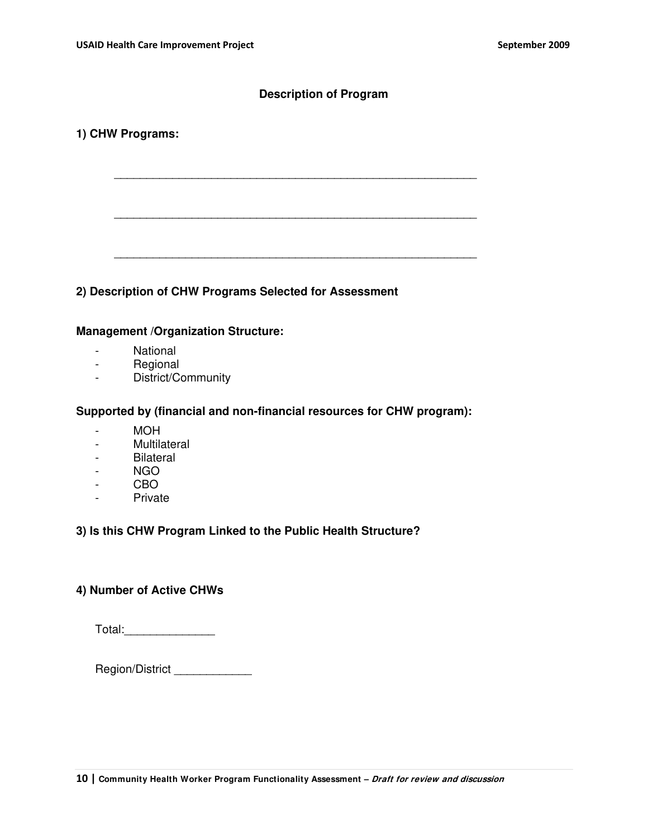## **Description of Program**

\_\_\_\_\_\_\_\_\_\_\_\_\_\_\_\_\_\_\_\_\_\_\_\_\_\_\_\_\_\_\_\_\_\_\_\_\_\_\_\_\_\_\_\_\_\_\_\_\_\_\_\_\_\_\_\_

\_\_\_\_\_\_\_\_\_\_\_\_\_\_\_\_\_\_\_\_\_\_\_\_\_\_\_\_\_\_\_\_\_\_\_\_\_\_\_\_\_\_\_\_\_\_\_\_\_\_\_\_\_\_\_\_

\_\_\_\_\_\_\_\_\_\_\_\_\_\_\_\_\_\_\_\_\_\_\_\_\_\_\_\_\_\_\_\_\_\_\_\_\_\_\_\_\_\_\_\_\_\_\_\_\_\_\_\_\_\_\_\_

## **1) CHW Programs:**

## **2) Description of CHW Programs Selected for Assessment**

### **Management /Organization Structure:**

- National
- Regional
- District/Community

### **Supported by (financial and non-financial resources for CHW program):**

- MOH
- Multilateral
- Bilateral
- NGO
- CBO
- Private

## **3) Is this CHW Program Linked to the Public Health Structure?**

## **4) Number of Active CHWs**

Total:\_\_\_\_\_\_\_\_\_\_\_\_\_\_\_\_\_\_

Region/District \_\_\_\_\_\_\_\_\_\_\_\_\_\_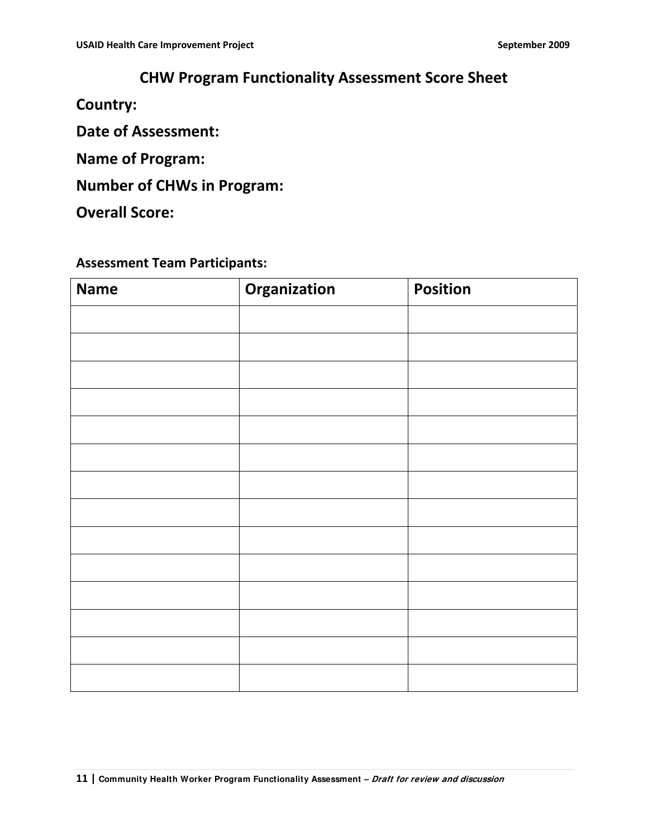## **CHW Program Functionality Assessment Score Sheet**

**Country:**

**Date of Assessment:**

**Name of Program:**

**Number of CHWs in Program:**

**Overall Score:**

## **Assessment Team Participants:**

| <b>Name</b> | Organization | <b>Position</b> |
|-------------|--------------|-----------------|
|             |              |                 |
|             |              |                 |
|             |              |                 |
|             |              |                 |
|             |              |                 |
|             |              |                 |
|             |              |                 |
|             |              |                 |
|             |              |                 |
|             |              |                 |
|             |              |                 |
|             |              |                 |
|             |              |                 |
|             |              |                 |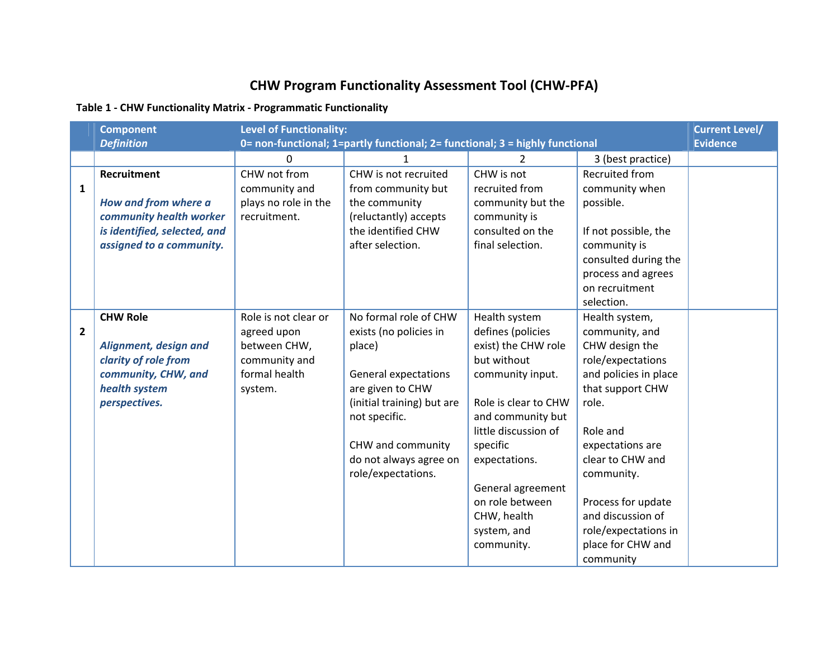# **CHW Program Functionality Assessment Tool (CHW‐PFA)**

## **Table 1 ‐ CHW Functionality Matrix ‐ Programmatic Functionality**

|                | <b>Component</b><br><b>Definition</b>                                                                                             | <b>Level of Functionality:</b>                                                                   | 0= non-functional; 1=partly functional; 2= functional; 3 = highly functional                                                                                                                                                     |                                                                                                                                                                                                                                                                                    |                                                                                                                                                                                                                                                                                                      | <b>Current Level/</b><br><b>Evidence</b> |
|----------------|-----------------------------------------------------------------------------------------------------------------------------------|--------------------------------------------------------------------------------------------------|----------------------------------------------------------------------------------------------------------------------------------------------------------------------------------------------------------------------------------|------------------------------------------------------------------------------------------------------------------------------------------------------------------------------------------------------------------------------------------------------------------------------------|------------------------------------------------------------------------------------------------------------------------------------------------------------------------------------------------------------------------------------------------------------------------------------------------------|------------------------------------------|
|                |                                                                                                                                   | 0                                                                                                | 1                                                                                                                                                                                                                                | 2                                                                                                                                                                                                                                                                                  | 3 (best practice)                                                                                                                                                                                                                                                                                    |                                          |
| $\mathbf{1}$   | <b>Recruitment</b><br>How and from where a<br>community health worker<br>is identified, selected, and<br>assigned to a community. | CHW not from<br>community and<br>plays no role in the<br>recruitment.                            | CHW is not recruited<br>from community but<br>the community<br>(reluctantly) accepts<br>the identified CHW<br>after selection.                                                                                                   | CHW is not<br>recruited from<br>community but the<br>community is<br>consulted on the<br>final selection.                                                                                                                                                                          | <b>Recruited from</b><br>community when<br>possible.<br>If not possible, the<br>community is<br>consulted during the<br>process and agrees<br>on recruitment<br>selection.                                                                                                                           |                                          |
| $\overline{2}$ | <b>CHW Role</b><br>Alignment, design and<br>clarity of role from<br>community, CHW, and<br>health system<br>perspectives.         | Role is not clear or<br>agreed upon<br>between CHW,<br>community and<br>formal health<br>system. | No formal role of CHW<br>exists (no policies in<br>place)<br><b>General expectations</b><br>are given to CHW<br>(initial training) but are<br>not specific.<br>CHW and community<br>do not always agree on<br>role/expectations. | Health system<br>defines (policies<br>exist) the CHW role<br>but without<br>community input.<br>Role is clear to CHW<br>and community but<br>little discussion of<br>specific<br>expectations.<br>General agreement<br>on role between<br>CHW, health<br>system, and<br>community. | Health system,<br>community, and<br>CHW design the<br>role/expectations<br>and policies in place<br>that support CHW<br>role.<br>Role and<br>expectations are<br>clear to CHW and<br>community.<br>Process for update<br>and discussion of<br>role/expectations in<br>place for CHW and<br>community |                                          |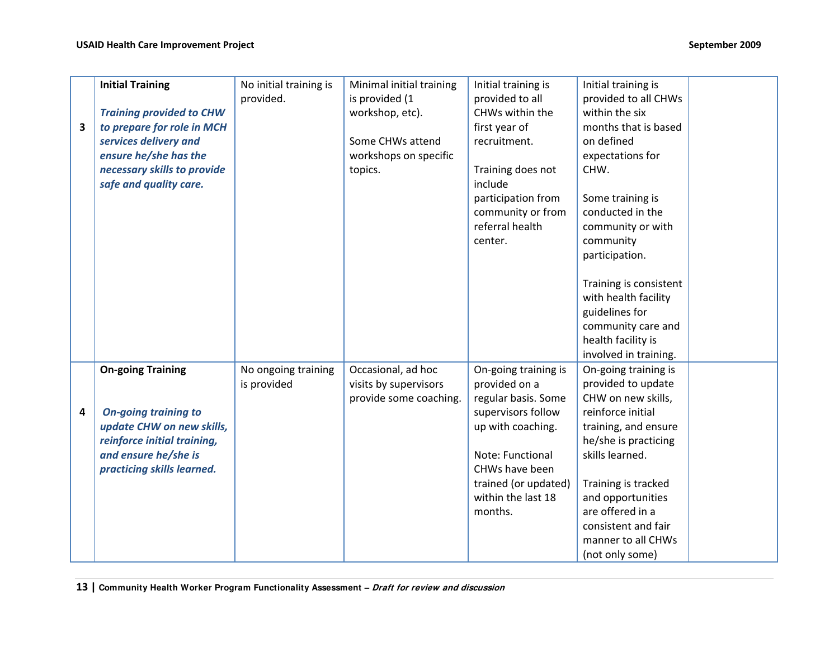|   | <b>Initial Training</b>         | No initial training is<br>provided. | Minimal initial training<br>is provided (1 | Initial training is<br>provided to all | Initial training is<br>provided to all CHWs    |  |
|---|---------------------------------|-------------------------------------|--------------------------------------------|----------------------------------------|------------------------------------------------|--|
|   | <b>Training provided to CHW</b> |                                     | workshop, etc).                            | CHWs within the                        | within the six                                 |  |
| 3 | to prepare for role in MCH      |                                     |                                            | first year of                          | months that is based                           |  |
|   | services delivery and           |                                     | Some CHWs attend                           | recruitment.                           | on defined                                     |  |
|   | ensure he/she has the           |                                     | workshops on specific                      |                                        | expectations for                               |  |
|   | necessary skills to provide     |                                     | topics.                                    | Training does not                      | CHW.                                           |  |
|   | safe and quality care.          |                                     |                                            | include                                |                                                |  |
|   |                                 |                                     |                                            | participation from                     | Some training is                               |  |
|   |                                 |                                     |                                            | community or from                      | conducted in the                               |  |
|   |                                 |                                     |                                            | referral health                        | community or with                              |  |
|   |                                 |                                     |                                            | center.                                | community                                      |  |
|   |                                 |                                     |                                            |                                        | participation.                                 |  |
|   |                                 |                                     |                                            |                                        |                                                |  |
|   |                                 |                                     |                                            |                                        | Training is consistent<br>with health facility |  |
|   |                                 |                                     |                                            |                                        | guidelines for                                 |  |
|   |                                 |                                     |                                            |                                        | community care and                             |  |
|   |                                 |                                     |                                            |                                        | health facility is                             |  |
|   |                                 |                                     |                                            |                                        | involved in training.                          |  |
|   | <b>On-going Training</b>        | No ongoing training                 | Occasional, ad hoc                         | On-going training is                   | On-going training is                           |  |
|   |                                 | is provided                         | visits by supervisors                      | provided on a                          | provided to update                             |  |
|   |                                 |                                     | provide some coaching.                     | regular basis. Some                    | CHW on new skills,                             |  |
| 4 | <b>On-going training to</b>     |                                     |                                            | supervisors follow                     | reinforce initial                              |  |
|   | update CHW on new skills,       |                                     |                                            | up with coaching.                      | training, and ensure                           |  |
|   | reinforce initial training,     |                                     |                                            |                                        | he/she is practicing                           |  |
|   | and ensure he/she is            |                                     |                                            | Note: Functional                       | skills learned.                                |  |
|   | practicing skills learned.      |                                     |                                            | CHWs have been                         |                                                |  |
|   |                                 |                                     |                                            | trained (or updated)                   | Training is tracked                            |  |
|   |                                 |                                     |                                            | within the last 18                     | and opportunities                              |  |
|   |                                 |                                     |                                            | months.                                | are offered in a                               |  |
|   |                                 |                                     |                                            |                                        | consistent and fair                            |  |
|   |                                 |                                     |                                            |                                        | manner to all CHWs                             |  |
|   |                                 |                                     |                                            |                                        | (not only some)                                |  |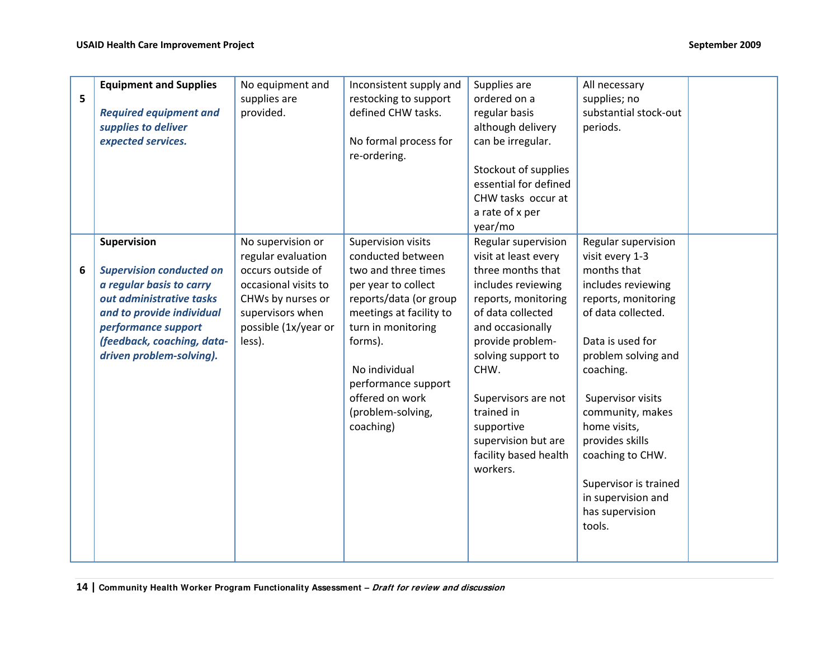|   | <b>Equipment and Supplies</b>   | No equipment and     | Inconsistent supply and | Supplies are          | All necessary         |  |
|---|---------------------------------|----------------------|-------------------------|-----------------------|-----------------------|--|
| 5 |                                 | supplies are         | restocking to support   | ordered on a          | supplies; no          |  |
|   | <b>Required equipment and</b>   | provided.            | defined CHW tasks.      | regular basis         | substantial stock-out |  |
|   | supplies to deliver             |                      |                         | although delivery     | periods.              |  |
|   | expected services.              |                      | No formal process for   | can be irregular.     |                       |  |
|   |                                 |                      | re-ordering.            |                       |                       |  |
|   |                                 |                      |                         |                       |                       |  |
|   |                                 |                      |                         | Stockout of supplies  |                       |  |
|   |                                 |                      |                         | essential for defined |                       |  |
|   |                                 |                      |                         | CHW tasks occur at    |                       |  |
|   |                                 |                      |                         | a rate of x per       |                       |  |
|   |                                 |                      |                         | year/mo               |                       |  |
|   | Supervision                     | No supervision or    | Supervision visits      | Regular supervision   | Regular supervision   |  |
|   |                                 | regular evaluation   | conducted between       | visit at least every  | visit every 1-3       |  |
| 6 | <b>Supervision conducted on</b> | occurs outside of    | two and three times     | three months that     | months that           |  |
|   | a regular basis to carry        | occasional visits to | per year to collect     | includes reviewing    | includes reviewing    |  |
|   | out administrative tasks        | CHWs by nurses or    | reports/data (or group  | reports, monitoring   | reports, monitoring   |  |
|   | and to provide individual       | supervisors when     | meetings at facility to | of data collected     | of data collected.    |  |
|   | performance support             | possible (1x/year or | turn in monitoring      | and occasionally      |                       |  |
|   | (feedback, coaching, data-      | less).               | forms).                 | provide problem-      | Data is used for      |  |
|   | driven problem-solving).        |                      |                         | solving support to    | problem solving and   |  |
|   |                                 |                      | No individual           | CHW.                  | coaching.             |  |
|   |                                 |                      | performance support     |                       |                       |  |
|   |                                 |                      | offered on work         | Supervisors are not   | Supervisor visits     |  |
|   |                                 |                      | (problem-solving,       | trained in            | community, makes      |  |
|   |                                 |                      | coaching)               | supportive            | home visits,          |  |
|   |                                 |                      |                         | supervision but are   | provides skills       |  |
|   |                                 |                      |                         | facility based health | coaching to CHW.      |  |
|   |                                 |                      |                         | workers.              |                       |  |
|   |                                 |                      |                         |                       | Supervisor is trained |  |
|   |                                 |                      |                         |                       | in supervision and    |  |
|   |                                 |                      |                         |                       | has supervision       |  |
|   |                                 |                      |                         |                       | tools.                |  |
|   |                                 |                      |                         |                       |                       |  |
|   |                                 |                      |                         |                       |                       |  |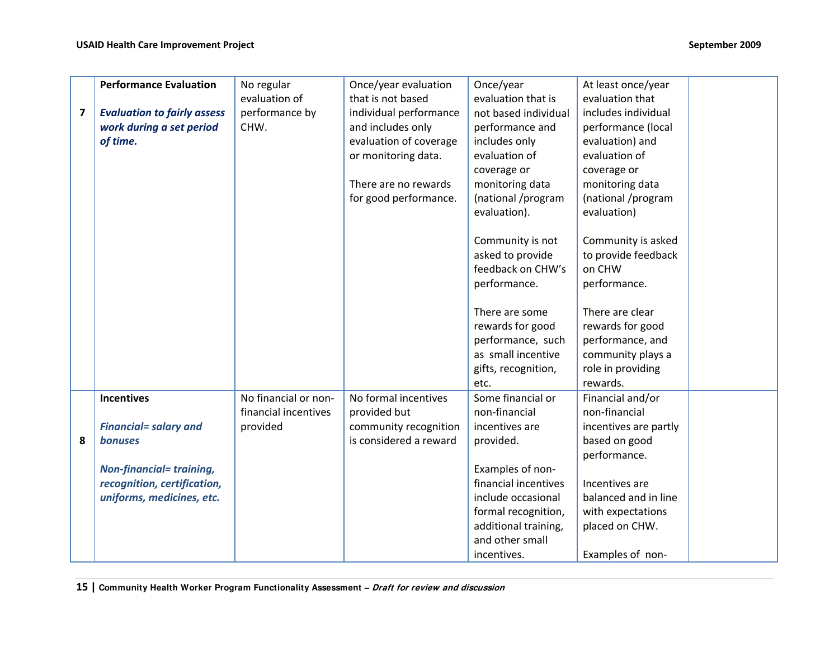|   | <b>Performance Evaluation</b>      | No regular           | Once/year evaluation   | Once/year            | At least once/year    |
|---|------------------------------------|----------------------|------------------------|----------------------|-----------------------|
|   |                                    | evaluation of        | that is not based      | evaluation that is   | evaluation that       |
| 7 | <b>Evaluation to fairly assess</b> | performance by       | individual performance | not based individual | includes individual   |
|   | work during a set period           | CHW.                 | and includes only      | performance and      | performance (local    |
|   | of time.                           |                      | evaluation of coverage | includes only        | evaluation) and       |
|   |                                    |                      | or monitoring data.    | evaluation of        | evaluation of         |
|   |                                    |                      |                        | coverage or          | coverage or           |
|   |                                    |                      | There are no rewards   | monitoring data      | monitoring data       |
|   |                                    |                      | for good performance.  | (national /program   | (national /program    |
|   |                                    |                      |                        | evaluation).         | evaluation)           |
|   |                                    |                      |                        | Community is not     | Community is asked    |
|   |                                    |                      |                        | asked to provide     | to provide feedback   |
|   |                                    |                      |                        | feedback on CHW's    | on CHW                |
|   |                                    |                      |                        | performance.         | performance.          |
|   |                                    |                      |                        |                      |                       |
|   |                                    |                      |                        | There are some       | There are clear       |
|   |                                    |                      |                        | rewards for good     | rewards for good      |
|   |                                    |                      |                        | performance, such    | performance, and      |
|   |                                    |                      |                        | as small incentive   | community plays a     |
|   |                                    |                      |                        | gifts, recognition,  | role in providing     |
|   |                                    |                      |                        | etc.                 | rewards.              |
|   | <b>Incentives</b>                  | No financial or non- | No formal incentives   | Some financial or    | Financial and/or      |
|   |                                    | financial incentives | provided but           | non-financial        | non-financial         |
|   | <b>Financial= salary and</b>       | provided             | community recognition  | incentives are       | incentives are partly |
| 8 | <b>bonuses</b>                     |                      | is considered a reward | provided.            | based on good         |
|   |                                    |                      |                        |                      | performance.          |
|   | <b>Non-financial= training,</b>    |                      |                        | Examples of non-     |                       |
|   | recognition, certification,        |                      |                        | financial incentives | Incentives are        |
|   | uniforms, medicines, etc.          |                      |                        | include occasional   | balanced and in line  |
|   |                                    |                      |                        | formal recognition,  | with expectations     |
|   |                                    |                      |                        | additional training, | placed on CHW.        |
|   |                                    |                      |                        | and other small      |                       |
|   |                                    |                      |                        | incentives.          | Examples of non-      |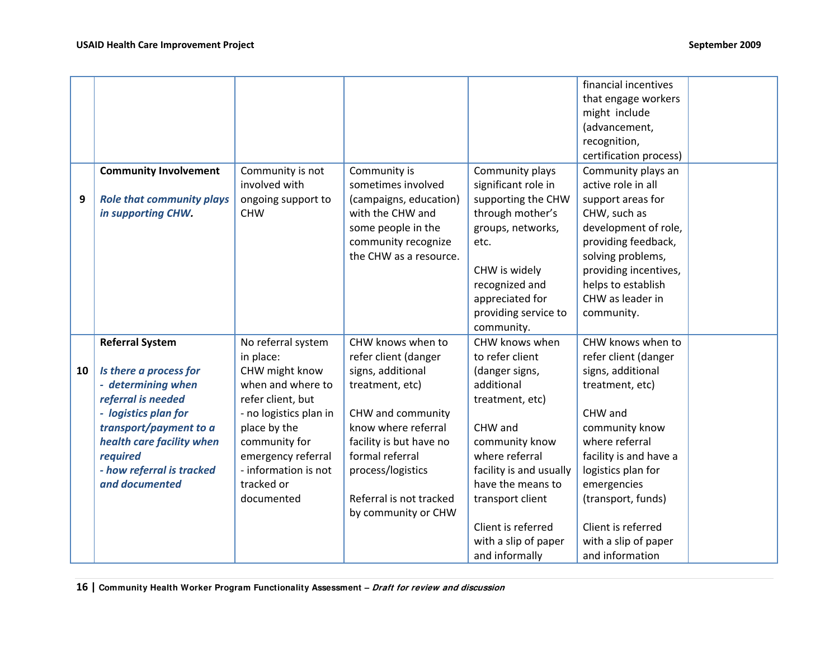|    |                                                                                                                                                                                                                                        |                                                                                                                                                                                                                                  |                                                                                                                                                                                                                                                    |                                                                                                                                                                                                                                                                         | financial incentives<br>that engage workers<br>might include<br>(advancement,<br>recognition,<br>certification process)                                                                                                                                                                |  |
|----|----------------------------------------------------------------------------------------------------------------------------------------------------------------------------------------------------------------------------------------|----------------------------------------------------------------------------------------------------------------------------------------------------------------------------------------------------------------------------------|----------------------------------------------------------------------------------------------------------------------------------------------------------------------------------------------------------------------------------------------------|-------------------------------------------------------------------------------------------------------------------------------------------------------------------------------------------------------------------------------------------------------------------------|----------------------------------------------------------------------------------------------------------------------------------------------------------------------------------------------------------------------------------------------------------------------------------------|--|
| 9  | <b>Community Involvement</b><br><b>Role that community plays</b><br>in supporting CHW.                                                                                                                                                 | Community is not<br>involved with<br>ongoing support to<br><b>CHW</b>                                                                                                                                                            | Community is<br>sometimes involved<br>(campaigns, education)<br>with the CHW and<br>some people in the<br>community recognize<br>the CHW as a resource.                                                                                            | Community plays<br>significant role in<br>supporting the CHW<br>through mother's<br>groups, networks,<br>etc.<br>CHW is widely<br>recognized and<br>appreciated for<br>providing service to<br>community.                                                               | Community plays an<br>active role in all<br>support areas for<br>CHW, such as<br>development of role,<br>providing feedback,<br>solving problems,<br>providing incentives,<br>helps to establish<br>CHW as leader in<br>community.                                                     |  |
| 10 | <b>Referral System</b><br>Is there a process for<br>- determining when<br>referral is needed<br>- logistics plan for<br>transport/payment to a<br>health care facility when<br>required<br>- how referral is tracked<br>and documented | No referral system<br>in place:<br>CHW might know<br>when and where to<br>refer client, but<br>- no logistics plan in<br>place by the<br>community for<br>emergency referral<br>- information is not<br>tracked or<br>documented | CHW knows when to<br>refer client (danger<br>signs, additional<br>treatment, etc)<br>CHW and community<br>know where referral<br>facility is but have no<br>formal referral<br>process/logistics<br>Referral is not tracked<br>by community or CHW | CHW knows when<br>to refer client<br>(danger signs,<br>additional<br>treatment, etc)<br>CHW and<br>community know<br>where referral<br>facility is and usually<br>have the means to<br>transport client<br>Client is referred<br>with a slip of paper<br>and informally | CHW knows when to<br>refer client (danger<br>signs, additional<br>treatment, etc)<br>CHW and<br>community know<br>where referral<br>facility is and have a<br>logistics plan for<br>emergencies<br>(transport, funds)<br>Client is referred<br>with a slip of paper<br>and information |  |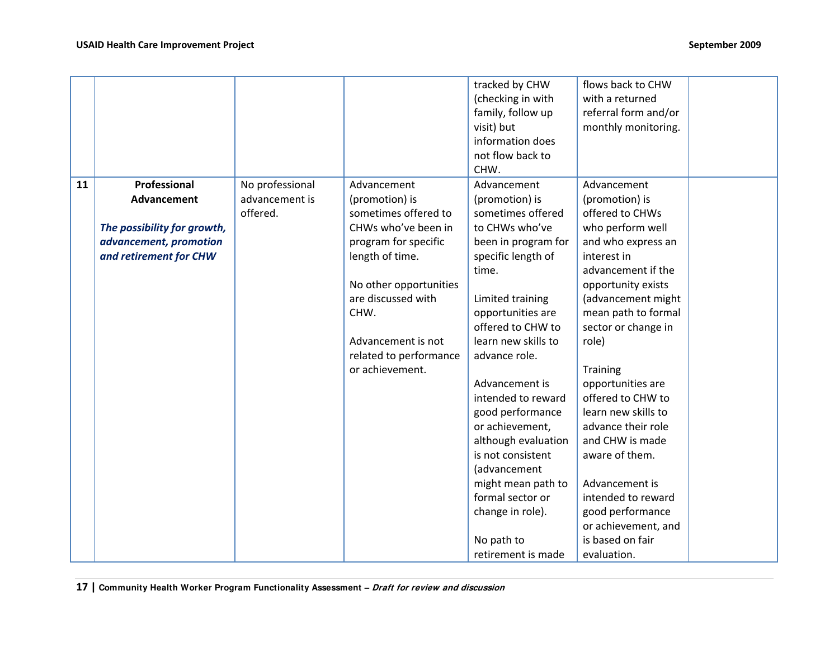|    |                             |                 |                        | tracked by CHW      | flows back to CHW    |  |
|----|-----------------------------|-----------------|------------------------|---------------------|----------------------|--|
|    |                             |                 |                        | (checking in with   | with a returned      |  |
|    |                             |                 |                        | family, follow up   | referral form and/or |  |
|    |                             |                 |                        | visit) but          | monthly monitoring.  |  |
|    |                             |                 |                        | information does    |                      |  |
|    |                             |                 |                        | not flow back to    |                      |  |
|    |                             |                 |                        | CHW.                |                      |  |
| 11 | Professional                | No professional | Advancement            | Advancement         | Advancement          |  |
|    | Advancement                 | advancement is  | (promotion) is         | (promotion) is      | (promotion) is       |  |
|    |                             | offered.        | sometimes offered to   | sometimes offered   | offered to CHWs      |  |
|    | The possibility for growth, |                 | CHWs who've been in    | to CHWs who've      | who perform well     |  |
|    | advancement, promotion      |                 | program for specific   | been in program for | and who express an   |  |
|    | and retirement for CHW      |                 | length of time.        | specific length of  | interest in          |  |
|    |                             |                 |                        | time.               | advancement if the   |  |
|    |                             |                 | No other opportunities |                     | opportunity exists   |  |
|    |                             |                 | are discussed with     | Limited training    | (advancement might   |  |
|    |                             |                 | CHW.                   |                     |                      |  |
|    |                             |                 |                        | opportunities are   | mean path to formal  |  |
|    |                             |                 |                        | offered to CHW to   | sector or change in  |  |
|    |                             |                 | Advancement is not     | learn new skills to | role)                |  |
|    |                             |                 | related to performance | advance role.       |                      |  |
|    |                             |                 | or achievement.        |                     | <b>Training</b>      |  |
|    |                             |                 |                        | Advancement is      | opportunities are    |  |
|    |                             |                 |                        | intended to reward  | offered to CHW to    |  |
|    |                             |                 |                        | good performance    | learn new skills to  |  |
|    |                             |                 |                        | or achievement,     | advance their role   |  |
|    |                             |                 |                        | although evaluation | and CHW is made      |  |
|    |                             |                 |                        | is not consistent   | aware of them.       |  |
|    |                             |                 |                        | (advancement        |                      |  |
|    |                             |                 |                        | might mean path to  | Advancement is       |  |
|    |                             |                 |                        | formal sector or    | intended to reward   |  |
|    |                             |                 |                        | change in role).    | good performance     |  |
|    |                             |                 |                        |                     | or achievement, and  |  |
|    |                             |                 |                        | No path to          | is based on fair     |  |
|    |                             |                 |                        | retirement is made  | evaluation.          |  |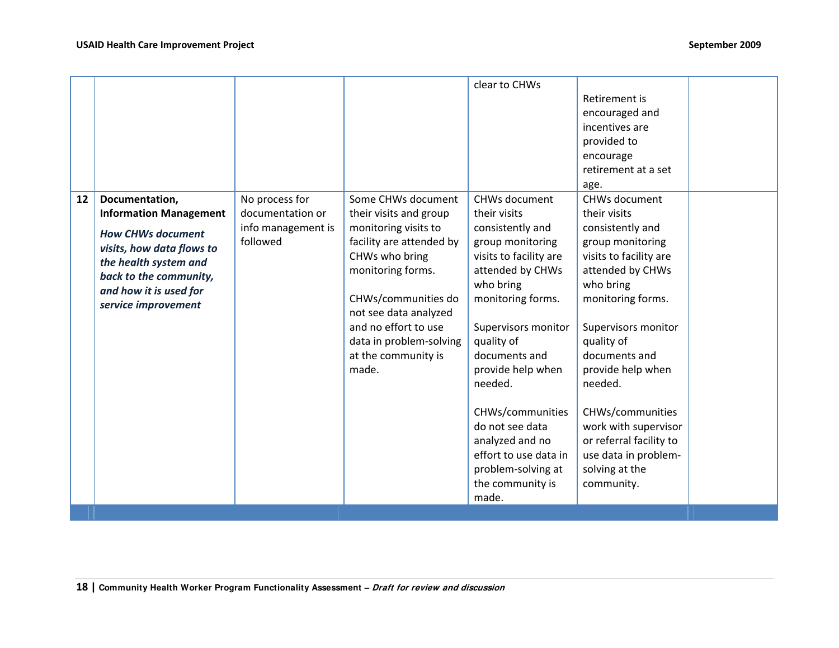|    |                                                                                                                                                                                                              |                                                                      |                                                                                                                                                                                                                                                                            | clear to CHWs                                                                                                                                                                                                                                                                                                                                                                            | Retirement is<br>encouraged and<br>incentives are<br>provided to<br>encourage<br>retirement at a set<br>age.                                                                                                                                                                                                                                                               |  |
|----|--------------------------------------------------------------------------------------------------------------------------------------------------------------------------------------------------------------|----------------------------------------------------------------------|----------------------------------------------------------------------------------------------------------------------------------------------------------------------------------------------------------------------------------------------------------------------------|------------------------------------------------------------------------------------------------------------------------------------------------------------------------------------------------------------------------------------------------------------------------------------------------------------------------------------------------------------------------------------------|----------------------------------------------------------------------------------------------------------------------------------------------------------------------------------------------------------------------------------------------------------------------------------------------------------------------------------------------------------------------------|--|
| 12 | Documentation,<br><b>Information Management</b><br><b>How CHWs document</b><br>visits, how data flows to<br>the health system and<br>back to the community,<br>and how it is used for<br>service improvement | No process for<br>documentation or<br>info management is<br>followed | Some CHWs document<br>their visits and group<br>monitoring visits to<br>facility are attended by<br>CHWs who bring<br>monitoring forms.<br>CHWs/communities do<br>not see data analyzed<br>and no effort to use<br>data in problem-solving<br>at the community is<br>made. | <b>CHWs document</b><br>their visits<br>consistently and<br>group monitoring<br>visits to facility are<br>attended by CHWs<br>who bring<br>monitoring forms.<br>Supervisors monitor<br>quality of<br>documents and<br>provide help when<br>needed.<br>CHWs/communities<br>do not see data<br>analyzed and no<br>effort to use data in<br>problem-solving at<br>the community is<br>made. | CHWs document<br>their visits<br>consistently and<br>group monitoring<br>visits to facility are<br>attended by CHWs<br>who bring<br>monitoring forms.<br>Supervisors monitor<br>quality of<br>documents and<br>provide help when<br>needed.<br>CHWs/communities<br>work with supervisor<br>or referral facility to<br>use data in problem-<br>solving at the<br>community. |  |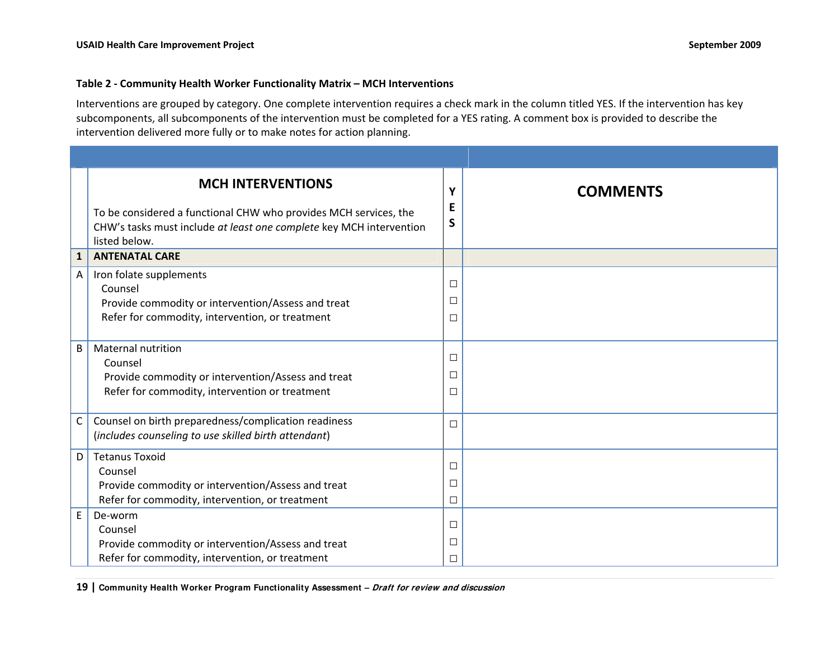#### **Table 2 ‐ Community Health Worker Functionality Matrix – MCH Interventions**

Interventions are grouped by category. One complete intervention requires a check mark in the column titled YES. If the intervention has key subcomponents, all subcomponents of the intervention must be completed for a YES rating. A comment box is provided to describe the intervention delivered more fully or to make notes for action planning.

|              | <b>MCH INTERVENTIONS</b><br>To be considered a functional CHW who provides MCH services, the<br>CHW's tasks must include at least one complete key MCH intervention<br>listed below. | Υ<br>E<br>S                | <b>COMMENTS</b> |
|--------------|--------------------------------------------------------------------------------------------------------------------------------------------------------------------------------------|----------------------------|-----------------|
| $\mathbf{1}$ | <b>ANTENATAL CARE</b>                                                                                                                                                                |                            |                 |
| A            | Iron folate supplements<br>Counsel<br>Provide commodity or intervention/Assess and treat<br>Refer for commodity, intervention, or treatment                                          | $\Box$<br>$\Box$<br>□      |                 |
| B            | <b>Maternal nutrition</b><br>Counsel<br>Provide commodity or intervention/Assess and treat<br>Refer for commodity, intervention or treatment                                         | $\Box$<br>$\Box$<br>$\Box$ |                 |
| C            | Counsel on birth preparedness/complication readiness<br>(includes counseling to use skilled birth attendant)                                                                         | $\Box$                     |                 |
| D            | <b>Tetanus Toxoid</b><br>Counsel<br>Provide commodity or intervention/Assess and treat<br>Refer for commodity, intervention, or treatment                                            | $\Box$<br>$\Box$<br>$\Box$ |                 |
| E            | De-worm<br>Counsel<br>Provide commodity or intervention/Assess and treat<br>Refer for commodity, intervention, or treatment                                                          | $\Box$<br>$\Box$<br>П      |                 |

**19 | Community Health Worker Program Functionality Assessment – Draft for review and discussion**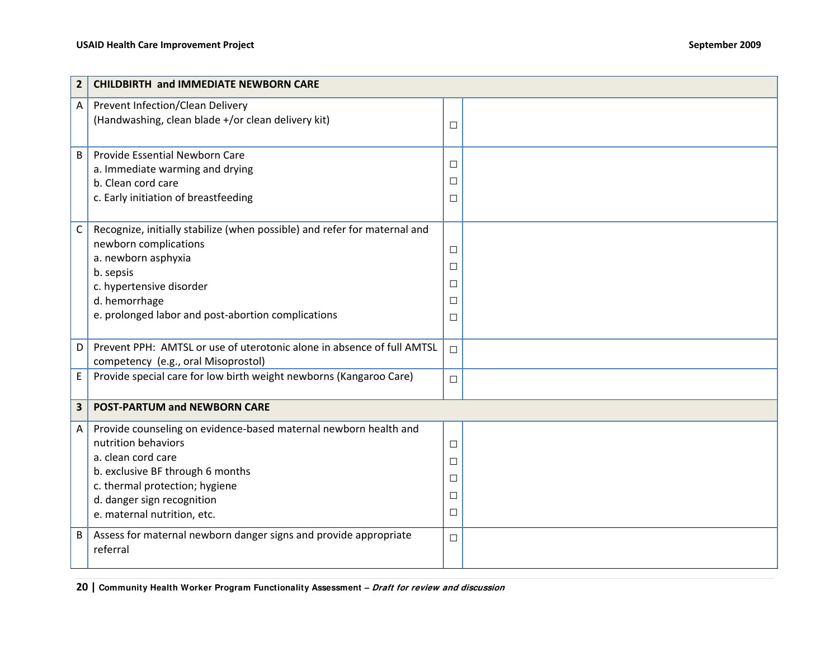| $\overline{2}$ | <b>CHILDBIRTH and IMMEDIATE NEWBORN CARE</b>                                                                                                                                                                                                     |                                                |  |
|----------------|--------------------------------------------------------------------------------------------------------------------------------------------------------------------------------------------------------------------------------------------------|------------------------------------------------|--|
| A              | Prevent Infection/Clean Delivery<br>(Handwashing, clean blade +/or clean delivery kit)                                                                                                                                                           | $\Box$                                         |  |
| B              | Provide Essential Newborn Care<br>a. Immediate warming and drying<br>b. Clean cord care<br>c. Early initiation of breastfeeding                                                                                                                  | $\Box$<br>$\Box$<br>$\Box$                     |  |
| $\mathsf{C}$   | Recognize, initially stabilize (when possible) and refer for maternal and<br>newborn complications<br>a. newborn asphyxia<br>b. sepsis<br>c. hypertensive disorder<br>d. hemorrhage<br>e. prolonged labor and post-abortion complications        | $\Box$<br>$\Box$<br>$\Box$<br>$\Box$<br>$\Box$ |  |
| D              | Prevent PPH: AMTSL or use of uterotonic alone in absence of full AMTSL<br>competency (e.g., oral Misoprostol)                                                                                                                                    | $\Box$                                         |  |
| E              | Provide special care for low birth weight newborns (Kangaroo Care)                                                                                                                                                                               | $\Box$                                         |  |
| $\mathbf{3}$   | <b>POST-PARTUM and NEWBORN CARE</b>                                                                                                                                                                                                              |                                                |  |
| A              | Provide counseling on evidence-based maternal newborn health and<br>nutrition behaviors<br>a. clean cord care<br>b. exclusive BF through 6 months<br>c. thermal protection; hygiene<br>d. danger sign recognition<br>e. maternal nutrition, etc. | $\Box$<br>$\Box$<br>$\Box$<br>$\Box$<br>$\Box$ |  |
| B              | Assess for maternal newborn danger signs and provide appropriate<br>referral                                                                                                                                                                     | $\Box$                                         |  |

**<sup>20</sup> | Community Health Worker Program Functionality Assessment – Draft for review and discussion**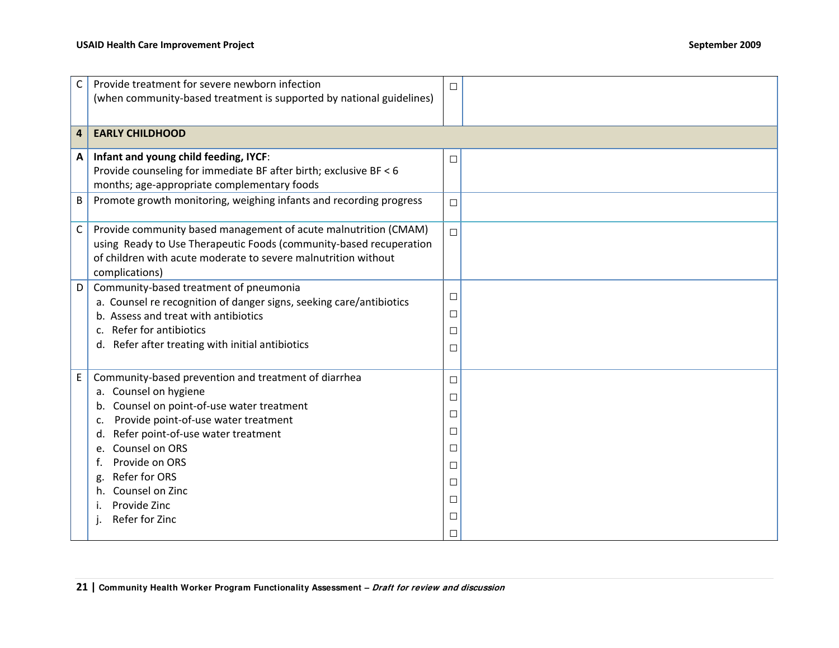| C | Provide treatment for severe newborn infection                       | $\Box$ |  |
|---|----------------------------------------------------------------------|--------|--|
|   | (when community-based treatment is supported by national guidelines) |        |  |
|   |                                                                      |        |  |
| 4 | <b>EARLY CHILDHOOD</b>                                               |        |  |
| Α | Infant and young child feeding, IYCF:                                | $\Box$ |  |
|   | Provide counseling for immediate BF after birth; exclusive BF < 6    |        |  |
|   | months; age-appropriate complementary foods                          |        |  |
| B | Promote growth monitoring, weighing infants and recording progress   | $\Box$ |  |
|   |                                                                      |        |  |
| C | Provide community based management of acute malnutrition (CMAM)      | $\Box$ |  |
|   | using Ready to Use Therapeutic Foods (community-based recuperation   |        |  |
|   | of children with acute moderate to severe malnutrition without       |        |  |
|   | complications)                                                       |        |  |
| D | Community-based treatment of pneumonia                               | $\Box$ |  |
|   | a. Counsel re recognition of danger signs, seeking care/antibiotics  | $\Box$ |  |
|   | b. Assess and treat with antibiotics                                 |        |  |
|   | Refer for antibiotics<br>$\mathsf{C}$ .                              | $\Box$ |  |
|   | d. Refer after treating with initial antibiotics                     | $\Box$ |  |
|   |                                                                      |        |  |
| E | Community-based prevention and treatment of diarrhea                 | $\Box$ |  |
|   | a. Counsel on hygiene                                                | $\Box$ |  |
|   | Counsel on point-of-use water treatment<br>b.                        | $\Box$ |  |
|   | Provide point-of-use water treatment<br>c.                           | $\Box$ |  |
|   | Refer point-of-use water treatment<br>d.<br>Counsel on ORS           | $\Box$ |  |
|   | Provide on ORS                                                       |        |  |
|   | Refer for ORS<br>g.                                                  | $\Box$ |  |
|   | Counsel on Zinc<br>h.                                                | $\Box$ |  |
|   | Provide Zinc                                                         | $\Box$ |  |
|   | Refer for Zinc<br>Τ.                                                 | $\Box$ |  |
|   |                                                                      | $\Box$ |  |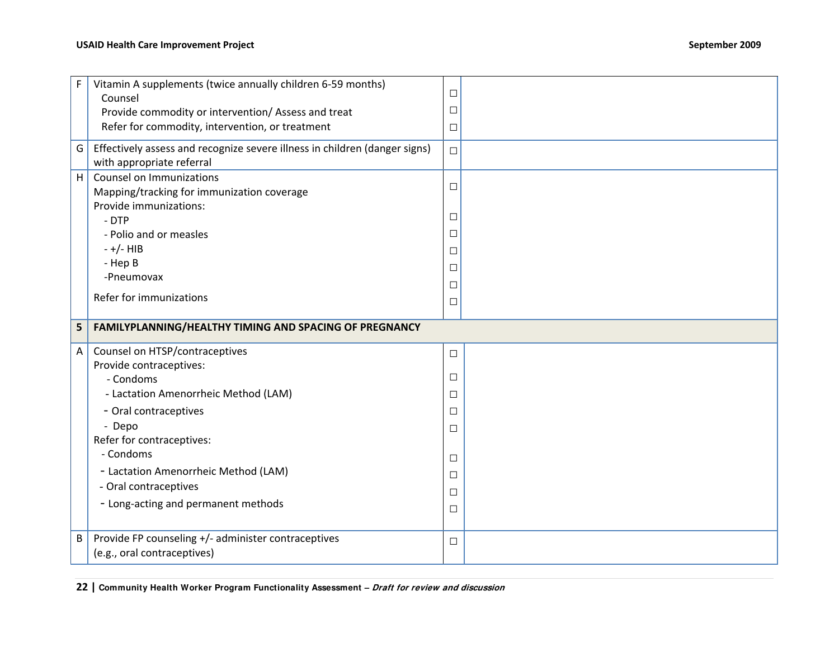| F | Vitamin A supplements (twice annually children 6-59 months)                        |        |  |
|---|------------------------------------------------------------------------------------|--------|--|
|   | Counsel                                                                            | $\Box$ |  |
|   | Provide commodity or intervention/ Assess and treat                                | $\Box$ |  |
|   | Refer for commodity, intervention, or treatment                                    | $\Box$ |  |
| G | Effectively assess and recognize severe illness in children (danger signs)         | $\Box$ |  |
|   | with appropriate referral                                                          |        |  |
| H | Counsel on Immunizations                                                           |        |  |
|   | Mapping/tracking for immunization coverage                                         | $\Box$ |  |
|   | Provide immunizations:                                                             |        |  |
|   | - DTP                                                                              | $\Box$ |  |
|   | - Polio and or measles                                                             | $\Box$ |  |
|   | $-+/-$ HIB                                                                         | $\Box$ |  |
|   | - Hep B                                                                            | $\Box$ |  |
|   | -Pneumovax                                                                         | $\Box$ |  |
|   | Refer for immunizations                                                            |        |  |
|   |                                                                                    | $\Box$ |  |
|   |                                                                                    |        |  |
| 5 | FAMILYPLANNING/HEALTHY TIMING AND SPACING OF PREGNANCY                             |        |  |
|   |                                                                                    |        |  |
| A | Counsel on HTSP/contraceptives                                                     | $\Box$ |  |
|   | Provide contraceptives:                                                            |        |  |
|   | - Condoms                                                                          | $\Box$ |  |
|   | - Lactation Amenorrheic Method (LAM)                                               | $\Box$ |  |
|   | - Oral contraceptives                                                              | $\Box$ |  |
|   | - Depo                                                                             | $\Box$ |  |
|   | Refer for contraceptives:                                                          |        |  |
|   | - Condoms                                                                          | $\Box$ |  |
|   | - Lactation Amenorrheic Method (LAM)                                               | $\Box$ |  |
|   | - Oral contraceptives                                                              |        |  |
|   |                                                                                    | $\Box$ |  |
|   | - Long-acting and permanent methods                                                | $\Box$ |  |
|   |                                                                                    |        |  |
| В | Provide FP counseling +/- administer contraceptives<br>(e.g., oral contraceptives) | $\Box$ |  |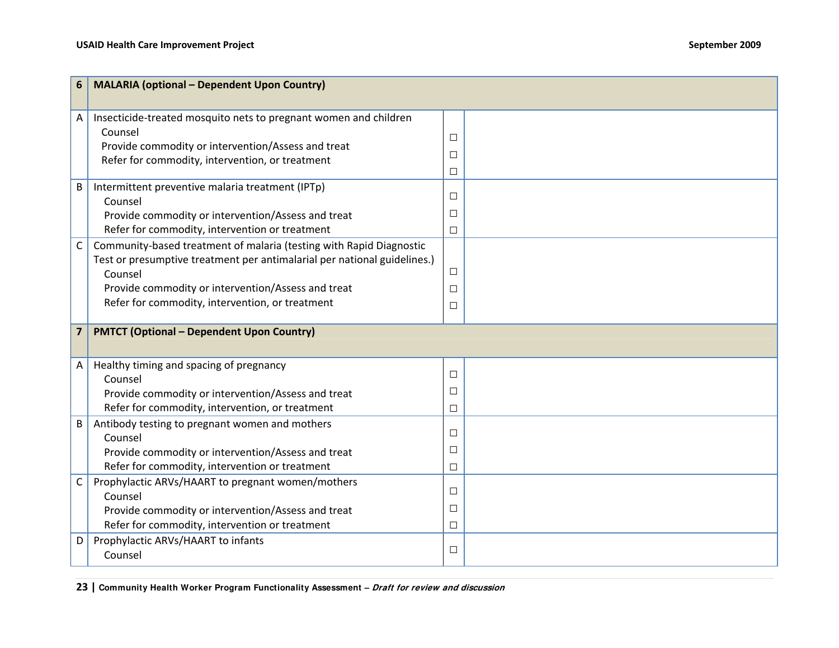| 6                       | <b>MALARIA (optional - Dependent Upon Country)</b>                          |        |  |
|-------------------------|-----------------------------------------------------------------------------|--------|--|
| A                       | Insecticide-treated mosquito nets to pregnant women and children<br>Counsel |        |  |
|                         | Provide commodity or intervention/Assess and treat                          | $\Box$ |  |
|                         | Refer for commodity, intervention, or treatment                             | $\Box$ |  |
|                         |                                                                             | $\Box$ |  |
| B                       | Intermittent preventive malaria treatment (IPTp)                            |        |  |
|                         | Counsel                                                                     | $\Box$ |  |
|                         | Provide commodity or intervention/Assess and treat                          | $\Box$ |  |
|                         | Refer for commodity, intervention or treatment                              | $\Box$ |  |
| $\mathsf C$             | Community-based treatment of malaria (testing with Rapid Diagnostic         |        |  |
|                         | Test or presumptive treatment per antimalarial per national guidelines.)    |        |  |
|                         | Counsel                                                                     | $\Box$ |  |
|                         | Provide commodity or intervention/Assess and treat                          | $\Box$ |  |
|                         | Refer for commodity, intervention, or treatment                             | $\Box$ |  |
| $\overline{\mathbf{z}}$ | <b>PMTCT (Optional - Dependent Upon Country)</b>                            |        |  |
|                         |                                                                             |        |  |
| Α                       | Healthy timing and spacing of pregnancy                                     | $\Box$ |  |
|                         | Counsel                                                                     |        |  |
|                         | Provide commodity or intervention/Assess and treat                          | $\Box$ |  |
|                         | Refer for commodity, intervention, or treatment                             | $\Box$ |  |
| B                       | Antibody testing to pregnant women and mothers                              | $\Box$ |  |
|                         | Counsel                                                                     |        |  |
|                         | Provide commodity or intervention/Assess and treat                          | $\Box$ |  |
|                         | Refer for commodity, intervention or treatment                              | $\Box$ |  |
| C                       | Prophylactic ARVs/HAART to pregnant women/mothers                           | $\Box$ |  |
|                         | Counsel<br>Provide commodity or intervention/Assess and treat               | $\Box$ |  |
|                         | Refer for commodity, intervention or treatment                              |        |  |
|                         | Prophylactic ARVs/HAART to infants                                          | $\Box$ |  |
| D                       | Counsel                                                                     | $\Box$ |  |
|                         |                                                                             |        |  |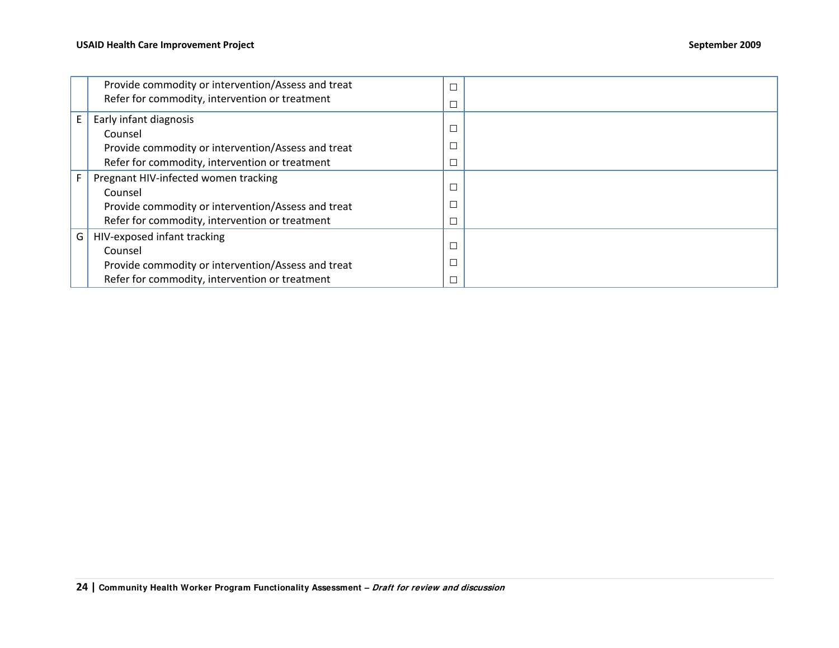|    | Provide commodity or intervention/Assess and treat | $\Box$ |  |
|----|----------------------------------------------------|--------|--|
|    | Refer for commodity, intervention or treatment     | $\Box$ |  |
| E  | Early infant diagnosis                             |        |  |
|    | Counsel                                            | С      |  |
|    | Provide commodity or intervention/Assess and treat |        |  |
|    | Refer for commodity, intervention or treatment     |        |  |
| F. | Pregnant HIV-infected women tracking               |        |  |
|    | Counsel                                            | $\Box$ |  |
|    | Provide commodity or intervention/Assess and treat |        |  |
|    | Refer for commodity, intervention or treatment     |        |  |
| G  | HIV-exposed infant tracking                        |        |  |
|    | Counsel                                            | $\Box$ |  |
|    | Provide commodity or intervention/Assess and treat |        |  |
|    | Refer for commodity, intervention or treatment     | $\Box$ |  |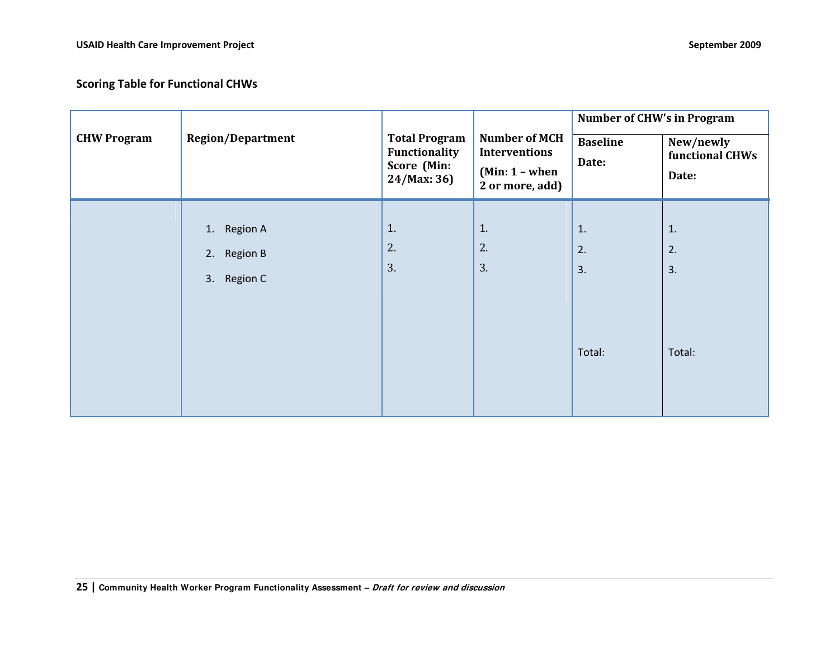|                    | <b>Region/Department</b>                               |                                                                     |                                                                                     | <b>Number of CHW's in Program</b> |                                       |
|--------------------|--------------------------------------------------------|---------------------------------------------------------------------|-------------------------------------------------------------------------------------|-----------------------------------|---------------------------------------|
| <b>CHW Program</b> |                                                        | <b>Total Program</b><br>Functionality<br>Score (Min:<br>24/Max: 36) | <b>Number of MCH</b><br><b>Interventions</b><br>$(Min: 1 - when$<br>2 or more, add) | <b>Baseline</b><br>Date:          | New/newly<br>functional CHWs<br>Date: |
|                    | 1. Region A<br><b>Region B</b><br>2.<br>Region C<br>3. | 1.<br>2.<br>3.                                                      | 1.<br>2.<br>3.                                                                      | 1.<br>2.<br>3.<br>Total:          | 1.<br>2.<br>3.<br>Total:              |